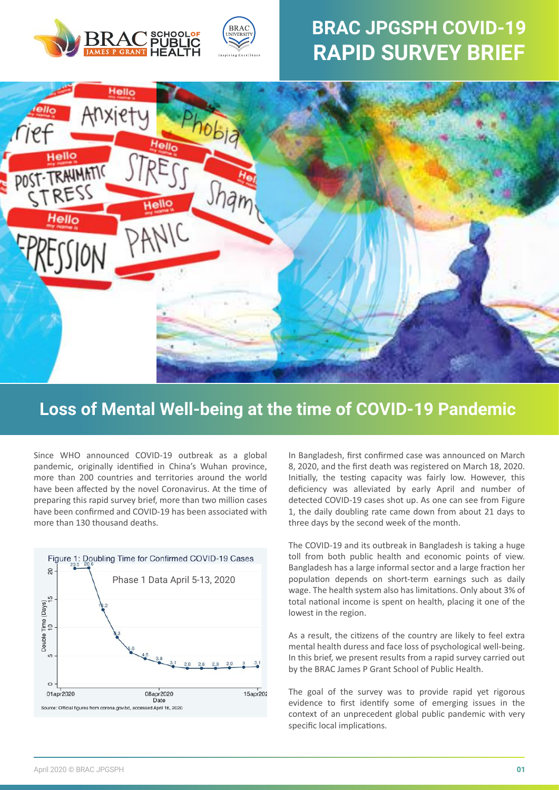



# **BRAC JPGSPH COVID-19 RAPID SURVEY BRIEF**



# **Loss of Mental Well-being at the time of COVID-19 Pandemic**

Since WHO announced COVID-19 outbreak as a global pandemic, originally iden�fied in China's Wuhan province, more than 200 countries and territories around the world have been affected by the novel Coronavirus. At the time of preparing this rapid survey brief, more than two million cases have been confirmed and COVID-19 has been associated with more than 130 thousand deaths.



In Bangladesh, first confirmed case was announced on March 8, 2020, and the first death was registered on March 18, 2020. Initially, the testing capacity was fairly low. However, this deficiency was alleviated by early April and number of detected COVID-19 cases shot up. As one can see from Figure 1, the daily doubling rate came down from about 21 days to three days by the second week of the month.

The COVID-19 and its outbreak in Bangladesh is taking a huge toll from both public health and economic points of view. Bangladesh has a large informal sector and a large fraction her population depends on short-term earnings such as daily wage. The health system also has limitations. Only about 3% of total national income is spent on health, placing it one of the lowest in the region.

As a result, the citizens of the country are likely to feel extra mental health duress and face loss of psychological well-being. In this brief, we present results from a rapid survey carried out by the BRAC James P Grant School of Public Health.

The goal of the survey was to provide rapid yet rigorous evidence to first iden�fy some of emerging issues in the context of an unprecedent global public pandemic with very specific local implications.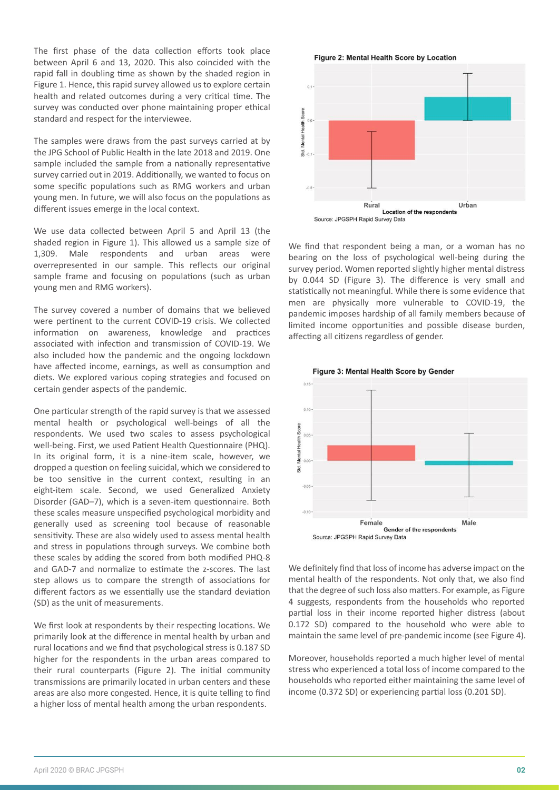The first phase of the data collection efforts took place between April 6 and 13, 2020. This also coincided with the rapid fall in doubling time as shown by the shaded region in Figure 1. Hence, this rapid survey allowed us to explore certain health and related outcomes during a very critical time. The survey was conducted over phone maintaining proper ethical standard and respect for the interviewee.

The samples were draws from the past surveys carried at by the JPG School of Public Health in the late 2018 and 2019. One sample included the sample from a nationally representative survey carried out in 2019. Additionally, we wanted to focus on some specific populations such as RMG workers and urban young men. In future, we will also focus on the populations as different issues emerge in the local context.

We use data collected between April 5 and April 13 (the shaded region in Figure 1). This allowed us a sample size of 1,309. Male respondents and urban areas were overrepresented in our sample. This reflects our original sample frame and focusing on populations (such as urban young men and RMG workers).

The survey covered a number of domains that we believed were pertinent to the current COVID-19 crisis. We collected information on awareness, knowledge and practices associated with infection and transmission of COVID-19. We also included how the pandemic and the ongoing lockdown have affected income, earnings, as well as consumption and diets. We explored various coping strategies and focused on certain gender aspects of the pandemic.

One particular strength of the rapid survey is that we assessed mental health or psychological well-beings of all the respondents. We used two scales to assess psychological well-being. First, we used Patient Health Questionnaire (PHQ). In its original form, it is a nine-item scale, however, we dropped a question on feeling suicidal, which we considered to be too sensitive in the current context, resulting in an eight-item scale. Second, we used Generalized Anxiety Disorder (GAD-7), which is a seven-item questionnaire. Both these scales measure unspecified psychological morbidity and generally used as screening tool because of reasonable sensitivity. These are also widely used to assess mental health and stress in populations through surveys. We combine both these scales by adding the scored from both modified PHQ-8 and GAD-7 and normalize to estimate the z-scores. The last step allows us to compare the strength of associations for different factors as we essentially use the standard deviation (SD) as the unit of measurements.

We first look at respondents by their respecting locations. We primarily look at the difference in mental health by urban and rural locations and we find that psychological stress is 0.187 SD higher for the respondents in the urban areas compared to their rural counterparts (Figure 2). The initial community transmissions are primarily located in urban centers and these areas are also more congested. Hence, it is quite telling to find a higher loss of mental health among the urban respondents.

Figure 2: Mental Health Score by Location



We find that respondent being a man, or a woman has no bearing on the loss of psychological well-being during the survey period. Women reported slightly higher mental distress by 0.044 SD (Figure 3). The difference is very small and statistically not meaningful. While there is some evidence that men are physically more vulnerable to COVID-19, the pandemic imposes hardship of all family members because of limited income opportuni�es and possible disease burden, affecting all citizens regardless of gender.



Figure 3: Mental Health Score by Gender

We definitely find that loss of income has adverse impact on the mental health of the respondents. Not only that, we also find that the degree of such loss also matters. For example, as Figure 4 suggests, respondents from the households who reported partial loss in their income reported higher distress (about 0.172 SD) compared to the household who were able to maintain the same level of pre-pandemic income (see Figure 4).

Moreover, households reported a much higher level of mental stress who experienced a total loss of income compared to the households who reported either maintaining the same level of income (0.372 SD) or experiencing partial loss (0.201 SD).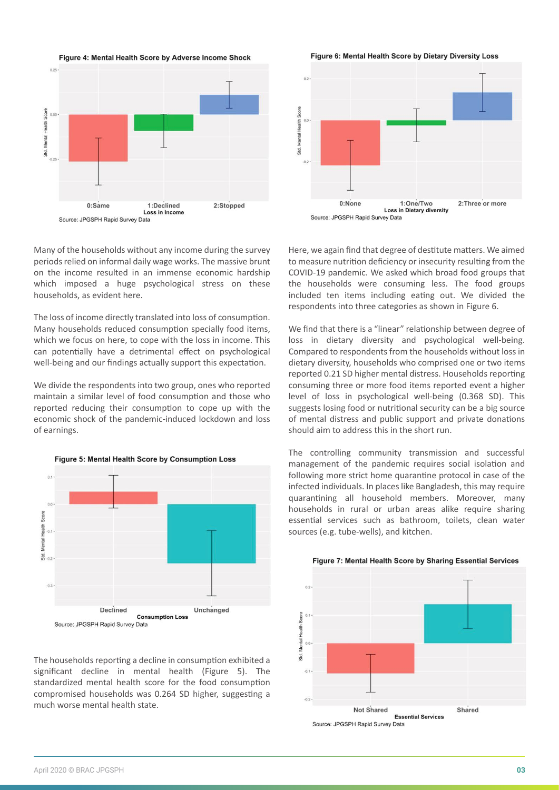Figure 4: Mental Health Score by Adverse Income Shock



Figure 6: Mental Health Score by Dietary Diversity Loss



Many of the households without any income during the survey periods relied on informal daily wage works. The massive brunt on the income resulted in an immense economic hardship which imposed a huge psychological stress on these households, as evident here.

The loss of income directly translated into loss of consumption. Many households reduced consumption specially food items, which we focus on here, to cope with the loss in income. This can potentially have a detrimental effect on psychological well-being and our findings actually support this expectation.

We divide the respondents into two group, ones who reported maintain a similar level of food consumption and those who reported reducing their consumption to cope up with the economic shock of the pandemic-induced lockdown and loss of earnings.



Figure 5: Mental Health Score by Consumption Loss

The households reporting a decline in consumption exhibited a significant decline in mental health (Figure 5). The standardized mental health score for the food consumption compromised households was 0.264 SD higher, suggesting a much worse mental health state.

Here, we again find that degree of destitute matters. We aimed to measure nutrition deficiency or insecurity resulting from the COVID-19 pandemic. We asked which broad food groups that the households were consuming less. The food groups included ten items including eating out. We divided the respondents into three categories as shown in Figure 6.

We find that there is a "linear" relationship between degree of loss in dietary diversity and psychological well-being. Compared to respondents from the households without loss in dietary diversity, households who comprised one or two items reported 0.21 SD higher mental distress. Households reporting consuming three or more food items reported event a higher level of loss in psychological well-being (0.368 SD). This suggests losing food or nutritional security can be a big source of mental distress and public support and private donations should aim to address this in the short run.

The controlling community transmission and successful management of the pandemic requires social isolation and following more strict home quarantine protocol in case of the infected individuals. In places like Bangladesh, this may require quarantining all household members. Moreover, many households in rural or urban areas alike require sharing essential services such as bathroom, toilets, clean water sources (e.g. tube-wells), and kitchen.



#### Figure 7: Mental Health Score by Sharing Essential Services